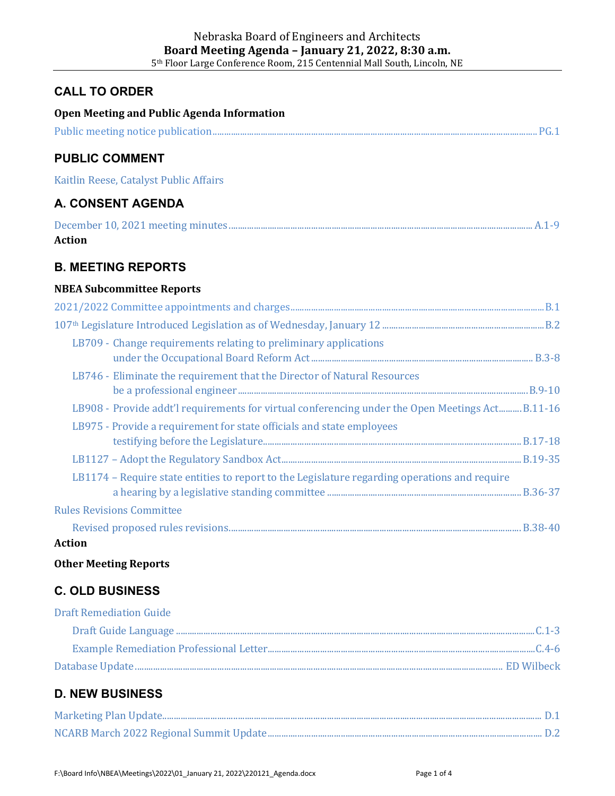## **CALL TO ORDER**

| Open Meeting and Public Agenda Information                                                       |  |
|--------------------------------------------------------------------------------------------------|--|
|                                                                                                  |  |
| <b>PUBLIC COMMENT</b>                                                                            |  |
| Kaitlin Reese, Catalyst Public Affairs                                                           |  |
| <b>A. CONSENT AGENDA</b>                                                                         |  |
| <b>Action</b>                                                                                    |  |
| <b>B. MEETING REPORTS</b>                                                                        |  |
| <b>NBEA Subcommittee Reports</b>                                                                 |  |
|                                                                                                  |  |
|                                                                                                  |  |
| LB709 - Change requirements relating to preliminary applications                                 |  |
|                                                                                                  |  |
| LB746 - Eliminate the requirement that the Director of Natural Resources                         |  |
|                                                                                                  |  |
| LB908 - Provide addt'l requirements for virtual conferencing under the Open Meetings Act B.11-16 |  |
| LB975 - Provide a requirement for state officials and state employees                            |  |
|                                                                                                  |  |
|                                                                                                  |  |
| LB1174 - Require state entities to report to the Legislature regarding operations and require    |  |
|                                                                                                  |  |
| <b>Rules Revisions Committee</b>                                                                 |  |
|                                                                                                  |  |
| <b>Action</b>                                                                                    |  |
| <b>Other Meeting Reports</b>                                                                     |  |
| <b>C. OLD BUSINESS</b>                                                                           |  |
| <b>Draft Remediation Guide</b>                                                                   |  |
|                                                                                                  |  |
|                                                                                                  |  |
|                                                                                                  |  |
|                                                                                                  |  |

## **D. NEW BUSINESS**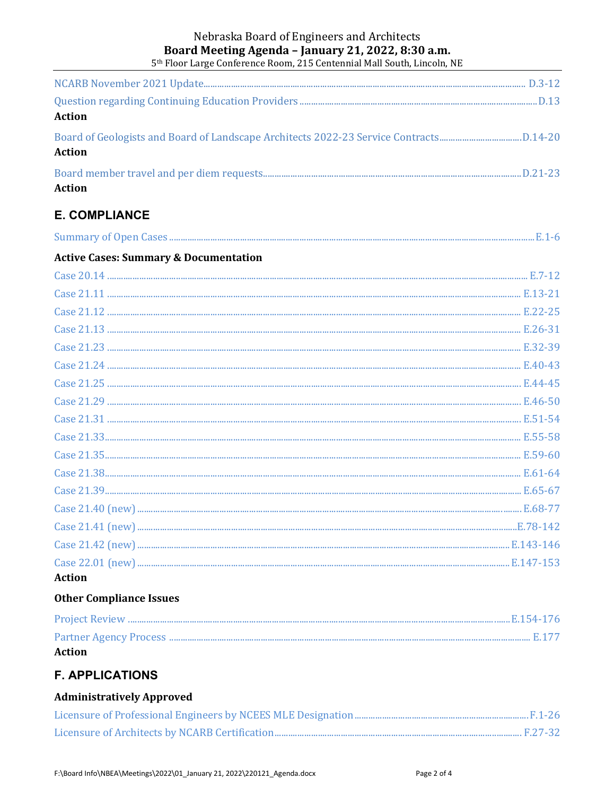#### Nebraska Board of Engineers and Architects Board Meeting Agenda - January 21, 2022, 8:30 a.m. 5<sup>th</sup> Floor Large Conference Room, 215 Centennial Mall South, Lincoln, NE

| <b>Action</b> |  |
|---------------|--|
| <b>Action</b> |  |
| <b>Action</b> |  |

## **E. COMPLIANCE**

| <b>Active Cases: Summary &amp; Documentation</b> |  |
|--------------------------------------------------|--|
|                                                  |  |
|                                                  |  |
|                                                  |  |
|                                                  |  |
|                                                  |  |
|                                                  |  |
|                                                  |  |
|                                                  |  |
|                                                  |  |
|                                                  |  |
|                                                  |  |
|                                                  |  |
|                                                  |  |
|                                                  |  |
|                                                  |  |
|                                                  |  |
|                                                  |  |
| <b>Action</b>                                    |  |

#### **Other Compliance Issues**

| <b>Action</b> |  |
|---------------|--|
|               |  |
|               |  |

## **F. APPLICATIONS**

## **Administratively Approved**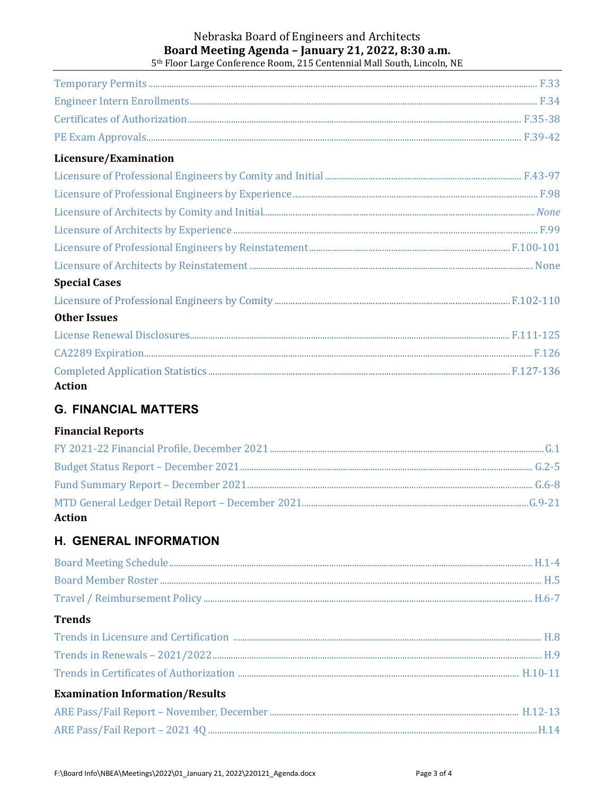#### Nebraska Board of Engineers and Architects Board Meeting Agenda - January 21, 2022, 8:30 a.m. 5<sup>th</sup> Floor Large Conference Room, 215 Centennial Mall South, Lincoln, NE

| Licensure/Examination |  |
|-----------------------|--|
|                       |  |
|                       |  |
|                       |  |
|                       |  |
|                       |  |
|                       |  |
| <b>Special Cases</b>  |  |
|                       |  |
| <b>Other Issues</b>   |  |
|                       |  |
|                       |  |
| <b>Action</b>         |  |

## **G. FINANCIAL MATTERS**

#### **Financial Reports**

| <b>Action</b> |  |
|---------------|--|

## **H. GENERAL INFORMATION**

| <b>Trends</b>                          |  |
|----------------------------------------|--|
|                                        |  |
|                                        |  |
|                                        |  |
| <b>Examination Information/Results</b> |  |
|                                        |  |

F:\Board Info\NBEA\Meetings\2022\01\_January 21, 2022\220121\_Agenda.docx